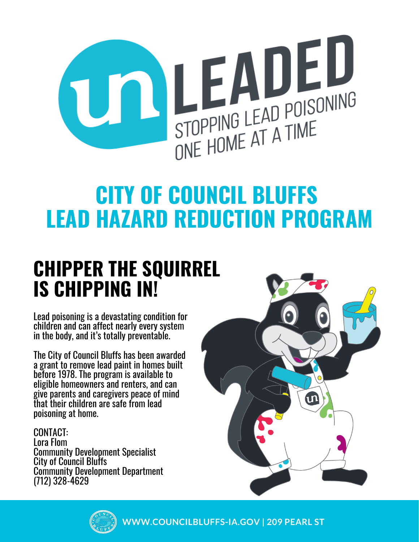

# **CITY OF COUNCIL BLUFFS LEAD HAZARD REDUCTION PROGRAM**

## **CHIPPER THE SQUIRREL IS CHIPPING IN!**

Lead poisoning is a devastating condition for children and can affect nearly every system in the body, and it's totally preventable.

The City of Council Bluffs has been awarded a grant to remove lead paint in homes built before 1978. The program is available to eligible homeowners and renters, and can give parents and caregivers peace of mind that their children are safe from lead poisoning at home.

CONTACT: Lora Flom Community Development Specialist City of Council Bluffs Community Development Department (712) 328-4629





**WWW.COUNCILBLUFFS-IA.GOV | 209 PEARL ST**